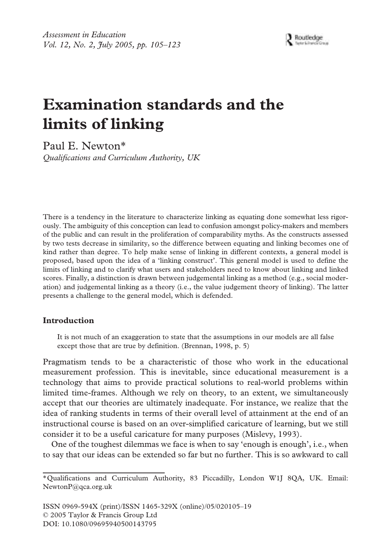Routledge

# **Examination standards and the limits of linking**

Paul E. Newton\* *Qualifications and Curriculum Authority, UK*

There is a tendency in the literature to characterize linking as equating done somewhat less rigorously. The ambiguity of this conception can lead to confusion amongst policy-makers and members of the public and can result in the proliferation of comparability myths. As the constructs assessed by two tests decrease in similarity, so the difference between equating and linking becomes one of kind rather than degree. To help make sense of linking in different contexts, a general model is proposed, based upon the idea of a 'linking construct'. This general model is used to define the limits of linking and to clarify what users and stakeholders need to know about linking and linked scores. Finally, a distinction is drawn between judgemental linking as a method (e.g., social moderation) and judgemental linking as a theory (i.e., the value judgement theory of linking). The latter presents a challenge to the general model, which is defended.

# **Introduction**

It is not much of an exaggeration to state that the assumptions in our models are all false except those that are true by definition. (Brennan, 1998, p. 5)

Pragmatism tends to be a characteristic of those who work in the educational measurement profession. This is inevitable, since educational measurement is a technology that aims to provide practical solutions to real-world problems within limited time-frames. Although we rely on theory, to an extent, we simultaneously accept that our theories are ultimately inadequate. For instance, we realize that the idea of ranking students in terms of their overall level of attainment at the end of an instructional course is based on an over-simplified caricature of learning, but we still consider it to be a useful caricature for many purposes (Mislevy, 1993).

One of the toughest dilemmas we face is when to say 'enough is enough', i.e., when to say that our ideas can be extended so far but no further. This is so awkward to call

<sup>\*</sup>Qualifications and Curriculum Authority, 83 Piccadilly, London W1J 8QA, UK. Email: NewtonP@qca.org.uk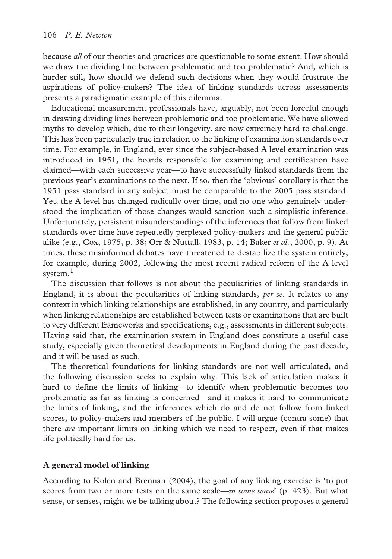because *all* of our theories and practices are questionable to some extent. How should we draw the dividing line between problematic and too problematic? And, which is harder still, how should we defend such decisions when they would frustrate the aspirations of policy-makers? The idea of linking standards across assessments presents a paradigmatic example of this dilemma.

Educational measurement professionals have, arguably, not been forceful enough in drawing dividing lines between problematic and too problematic. We have allowed myths to develop which, due to their longevity, are now extremely hard to challenge. This has been particularly true in relation to the linking of examination standards over time. For example, in England, ever since the subject-based A level examination was introduced in 1951, the boards responsible for examining and certification have claimed—with each successive year—to have successfully linked standards from the previous year's examinations to the next. If so, then the 'obvious' corollary is that the 1951 pass standard in any subject must be comparable to the 2005 pass standard. Yet, the A level has changed radically over time, and no one who genuinely understood the implication of those changes would sanction such a simplistic inference. Unfortunately, persistent misunderstandings of the inferences that follow from linked standards over time have repeatedly perplexed policy-makers and the general public alike (e.g., Cox, 1975, p. 38; Orr & Nuttall, 1983, p. 14; Baker *et al.*, 2000, p. 9). At times, these misinformed debates have threatened to destabilize the system entirely; for example, during 2002, following the most recent radical reform of the A level system.<sup>1</sup>

The discussion that follows is not about the peculiarities of linking standards in England, it is about the peculiarities of linking standards, *per se*. It relates to any context in which linking relationships are established, in any country, and particularly when linking relationships are established between tests or examinations that are built to very different frameworks and specifications, e.g., assessments in different subjects. Having said that, the examination system in England does constitute a useful case study, especially given theoretical developments in England during the past decade, and it will be used as such.

The theoretical foundations for linking standards are not well articulated, and the following discussion seeks to explain why. This lack of articulation makes it hard to define the limits of linking—to identify when problematic becomes too problematic as far as linking is concerned—and it makes it hard to communicate the limits of linking, and the inferences which do and do not follow from linked scores, to policy-makers and members of the public. I will argue (contra some) that there *are* important limits on linking which we need to respect, even if that makes life politically hard for us.

# **A general model of linking**

According to Kolen and Brennan (2004), the goal of any linking exercise is 'to put scores from two or more tests on the same scale—*in some sense*' (p. 423). But what sense, or senses, might we be talking about? The following section proposes a general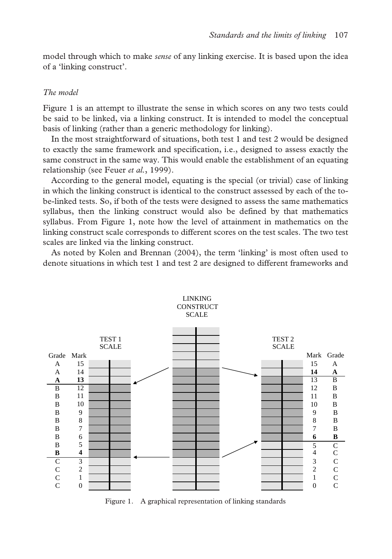model through which to make *sense* of any linking exercise. It is based upon the idea of a 'linking construct'.

## *The model*

Figure 1 is an attempt to illustrate the sense in which scores on any two tests could be said to be linked, via a linking construct. It is intended to model the conceptual basis of linking (rather than a generic methodology for linking).

In the most straightforward of situations, both test 1 and test 2 would be designed to exactly the same framework and specification, i.e., designed to assess exactly the same construct in the same way. This would enable the establishment of an equating relationship (see Feuer *et al.*, 1999).

According to the general model, equating is the special (or trivial) case of linking in which the linking construct is identical to the construct assessed by each of the tobe-linked tests. So, if both of the tests were designed to assess the same mathematics syllabus, then the linking construct would also be defined by that mathematics syllabus. From Figure 1, note how the level of attainment in mathematics on the linking construct scale corresponds to different scores on the test scales. The two test scales are linked via the linking construct.

As noted by Kolen and Brennan (2004), the term 'linking' is most often used to denote situations in which test 1 and test 2 are designed to different frameworks and



Figure 1. A graphical representation of linking standards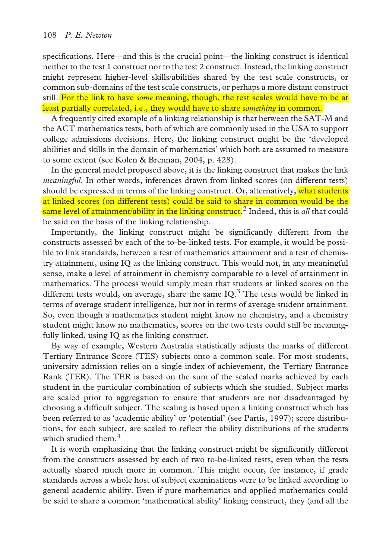specifications. Here—and this is the crucial point—the linking construct is identical neither to the test 1 construct nor to the test 2 construct. Instead, the linking construct might represent higher-level skills/abilities shared by the test scale constructs, or common sub-domains of the test scale constructs, or perhaps a more distant construct still. For the link to have *some* meaning, though, the test scales would have to be at least partially correlated, i.e., they would have to share *something* in common.

A frequently cited example of a linking relationship is that between the SAT-M and the ACT mathematics tests, both of which are commonly used in the USA to support college admissions decisions. Here, the linking construct might be the 'developed abilities and skills in the domain of mathematics' which both are assumed to measure to some extent (see Kolen & Brennan, 2004, p. 428).

In the general model proposed above, it is the linking construct that makes the link *meaningful*. In other words, inferences drawn from linked scores (on different tests) should be expressed in terms of the linking construct. Or, alternatively, what students at linked scores (on different tests) could be said to share in common would be the same level of attainment/ability in the linking construct.<sup>2</sup> Indeed, this is *all* that could be said on the basis of the linking relationship.

Importantly, the linking construct might be significantly different from the constructs assessed by each of the to-be-linked tests. For example, it would be possible to link standards, between a test of mathematics attainment and a test of chemistry attainment, using IQ as the linking construct. This would not, in any meaningful sense, make a level of attainment in chemistry comparable to a level of attainment in mathematics. The process would simply mean that students at linked scores on the different tests would, on average, share the same  $IQ<sup>3</sup>$ . The tests would be linked in terms of average student intelligence, but not in terms of average student attainment. So, even though a mathematics student might know no chemistry, and a chemistry student might know no mathematics, scores on the two tests could still be meaningfully linked, using IQ as the linking construct.

By way of example, Western Australia statistically adjusts the marks of different Tertiary Entrance Score (TES) subjects onto a common scale. For most students, university admission relies on a single index of achievement, the Tertiary Entrance Rank (TER). The TER is based on the sum of the scaled marks achieved by each student in the particular combination of subjects which she studied. Subject marks are scaled prior to aggregation to ensure that students are not disadvantaged by choosing a difficult subject. The scaling is based upon a linking construct which has been referred to as 'academic ability' or 'potential' (see Partis, 1997); score distributions, for each subject, are scaled to reflect the ability distributions of the students which studied them. $4$ 

It is worth emphasizing that the linking construct might be significantly different from the constructs assessed by each of two to-be-linked tests, even when the tests actually shared much more in common. This might occur, for instance, if grade standards across a whole host of subject examinations were to be linked according to general academic ability. Even if pure mathematics and applied mathematics could be said to share a common 'mathematical ability' linking construct, they (and all the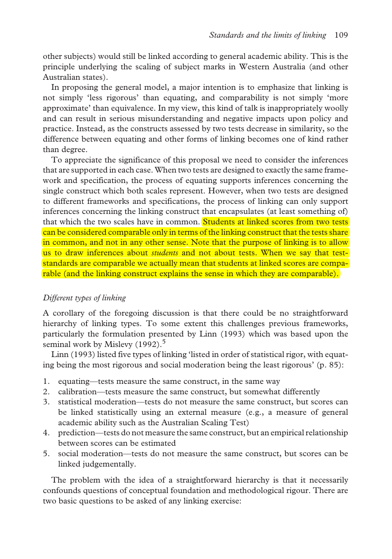other subjects) would still be linked according to general academic ability. This is the principle underlying the scaling of subject marks in Western Australia (and other Australian states).

In proposing the general model, a major intention is to emphasize that linking is not simply 'less rigorous' than equating, and comparability is not simply 'more approximate' than equivalence. In my view, this kind of talk is inappropriately woolly and can result in serious misunderstanding and negative impacts upon policy and practice. Instead, as the constructs assessed by two tests decrease in similarity, so the difference between equating and other forms of linking becomes one of kind rather than degree.

To appreciate the significance of this proposal we need to consider the inferences that are supported in each case. When two tests are designed to exactly the same framework and specification, the process of equating supports inferences concerning the single construct which both scales represent. However, when two tests are designed to different frameworks and specifications, the process of linking can only support inferences concerning the linking construct that encapsulates (at least something of) that which the two scales have in common. Students at linked scores from two tests can be considered comparable only in terms of the linking construct that the tests share in common, and not in any other sense. Note that the purpose of linking is to allow us to draw inferences about *students* and not about tests. When we say that teststandards are comparable we actually mean that students at linked scores are comparable (and the linking construct explains the sense in which they are comparable).

## *Different types of linking*

A corollary of the foregoing discussion is that there could be no straightforward hierarchy of linking types. To some extent this challenges previous frameworks, particularly the formulation presented by Linn (1993) which was based upon the seminal work by Mislevy  $(1992)$ .<sup>5</sup>

Linn (1993) listed five types of linking 'listed in order of statistical rigor, with equating being the most rigorous and social moderation being the least rigorous' (p. 85):

- 1. equating—tests measure the same construct, in the same way
- 2. calibration—tests measure the same construct, but somewhat differently
- 3. statistical moderation—tests do not measure the same construct, but scores can be linked statistically using an external measure (e.g., a measure of general academic ability such as the Australian Scaling Test)
- 4. prediction—tests do not measure the same construct, but an empirical relationship between scores can be estimated
- 5. social moderation—tests do not measure the same construct, but scores can be linked judgementally.

The problem with the idea of a straightforward hierarchy is that it necessarily confounds questions of conceptual foundation and methodological rigour. There are two basic questions to be asked of any linking exercise: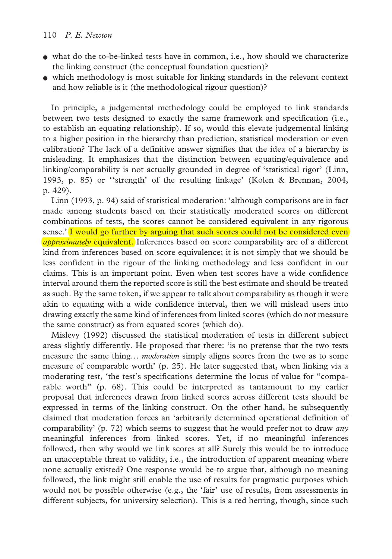- $\bullet$  what do the to-be-linked tests have in common, i.e., how should we characterize the linking construct (the conceptual foundation question)?
- which methodology is most suitable for linking standards in the relevant context and how reliable is it (the methodological rigour question)?

In principle, a judgemental methodology could be employed to link standards between two tests designed to exactly the same framework and specification (i.e., to establish an equating relationship). If so, would this elevate judgemental linking to a higher position in the hierarchy than prediction, statistical moderation or even calibration? The lack of a definitive answer signifies that the idea of a hierarchy is misleading. It emphasizes that the distinction between equating/equivalence and linking/comparability is not actually grounded in degree of 'statistical rigor' (Linn, 1993, p. 85) or ''strength' of the resulting linkage' (Kolen & Brennan, 2004, p. 429).

Linn (1993, p. 94) said of statistical moderation: 'although comparisons are in fact made among students based on their statistically moderated scores on different combinations of tests, the scores cannot be considered equivalent in any rigorous sense.' I would go further by arguing that such scores could not be considered even *approximately* equivalent. Inferences based on score comparability are of a different kind from inferences based on score equivalence; it is not simply that we should be less confident in the rigour of the linking methodology and less confident in our claims. This is an important point. Even when test scores have a wide confidence interval around them the reported score is still the best estimate and should be treated as such. By the same token, if we appear to talk about comparability as though it were akin to equating with a wide confidence interval, then we will mislead users into drawing exactly the same kind of inferences from linked scores (which do not measure the same construct) as from equated scores (which do).

Mislevy (1992) discussed the statistical moderation of tests in different subject areas slightly differently. He proposed that there: 'is no pretense that the two tests measure the same thing… *moderation* simply aligns scores from the two as to some measure of comparable worth' (p. 25). He later suggested that, when linking via a moderating test, 'the test's specifications determine the locus of value for "comparable worth" (p. 68). This could be interpreted as tantamount to my earlier proposal that inferences drawn from linked scores across different tests should be expressed in terms of the linking construct. On the other hand, he subsequently claimed that moderation forces an 'arbitrarily determined operational definition of comparability' (p. 72) which seems to suggest that he would prefer not to draw *any* meaningful inferences from linked scores. Yet, if no meaningful inferences followed, then why would we link scores at all? Surely this would be to introduce an unacceptable threat to validity, i.e., the introduction of apparent meaning where none actually existed? One response would be to argue that, although no meaning followed, the link might still enable the use of results for pragmatic purposes which would not be possible otherwise (e.g., the 'fair' use of results, from assessments in different subjects, for university selection). This is a red herring, though, since such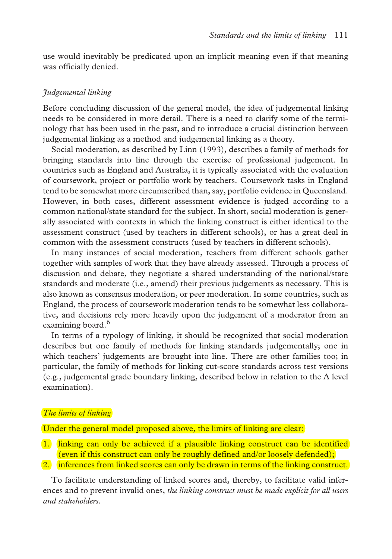use would inevitably be predicated upon an implicit meaning even if that meaning was officially denied.

## *Judgemental linking*

Before concluding discussion of the general model, the idea of judgemental linking needs to be considered in more detail. There is a need to clarify some of the terminology that has been used in the past, and to introduce a crucial distinction between judgemental linking as a method and judgemental linking as a theory.

Social moderation, as described by Linn (1993), describes a family of methods for bringing standards into line through the exercise of professional judgement. In countries such as England and Australia, it is typically associated with the evaluation of coursework, project or portfolio work by teachers. Coursework tasks in England tend to be somewhat more circumscribed than, say, portfolio evidence in Queensland. However, in both cases, different assessment evidence is judged according to a common national/state standard for the subject. In short, social moderation is generally associated with contexts in which the linking construct is either identical to the assessment construct (used by teachers in different schools), or has a great deal in common with the assessment constructs (used by teachers in different schools).

In many instances of social moderation, teachers from different schools gather together with samples of work that they have already assessed. Through a process of discussion and debate, they negotiate a shared understanding of the national/state standards and moderate (i.e., amend) their previous judgements as necessary. This is also known as consensus moderation, or peer moderation. In some countries, such as England, the process of coursework moderation tends to be somewhat less collaborative, and decisions rely more heavily upon the judgement of a moderator from an examining board.<sup>6</sup>

In terms of a typology of linking, it should be recognized that social moderation describes but one family of methods for linking standards judgementally; one in which teachers' judgements are brought into line. There are other families too; in particular, the family of methods for linking cut-score standards across test versions (e.g., judgemental grade boundary linking, described below in relation to the A level examination).

# *The limits of linking*

Under the general model proposed above, the limits of linking are clear:

- 1. linking can only be achieved if a plausible linking construct can be identified (even if this construct can only be roughly defined and/or loosely defended);
- 2. inferences from linked scores can only be drawn in terms of the linking construct.

To facilitate understanding of linked scores and, thereby, to facilitate valid inferences and to prevent invalid ones, *the linking construct must be made explicit for all users and stakeholders*.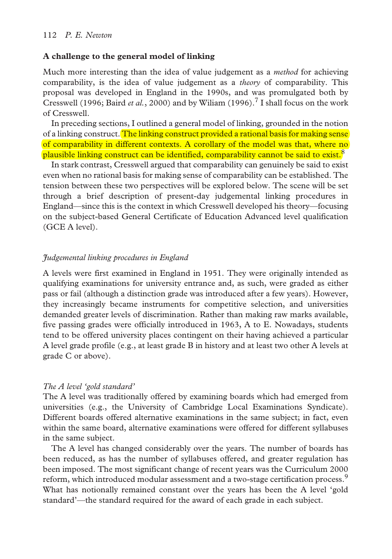## **A challenge to the general model of linking**

Much more interesting than the idea of value judgement as a *method* for achieving comparability, is the idea of value judgement as a *theory* of comparability. This proposal was developed in England in the 1990s, and was promulgated both by Cresswell (1996; Baird *et al.*, 2000) and by Wiliam (1996).7 I shall focus on the work of Cresswell.

In preceding sections, I outlined a general model of linking, grounded in the notion of a linking construct. The linking construct provided a rational basis for making sense of comparability in different contexts. A corollary of the model was that, where no plausible linking construct can be identified, comparability cannot be said to exist.<sup>8</sup>

In stark contrast, Cresswell argued that comparability can genuinely be said to exist even when no rational basis for making sense of comparability can be established. The tension between these two perspectives will be explored below. The scene will be set through a brief description of present-day judgemental linking procedures in England—since this is the context in which Cresswell developed his theory—focusing on the subject-based General Certificate of Education Advanced level qualification (GCE A level).

## *Judgemental linking procedures in England*

A levels were first examined in England in 1951. They were originally intended as qualifying examinations for university entrance and, as such, were graded as either pass or fail (although a distinction grade was introduced after a few years). However, they increasingly became instruments for competitive selection, and universities demanded greater levels of discrimination. Rather than making raw marks available, five passing grades were officially introduced in 1963, A to E. Nowadays, students tend to be offered university places contingent on their having achieved a particular A level grade profile (e.g., at least grade B in history and at least two other A levels at grade C or above).

## *The A level 'gold standard'*

The A level was traditionally offered by examining boards which had emerged from universities (e.g., the University of Cambridge Local Examinations Syndicate). Different boards offered alternative examinations in the same subject; in fact, even within the same board, alternative examinations were offered for different syllabuses in the same subject.

The A level has changed considerably over the years. The number of boards has been reduced, as has the number of syllabuses offered, and greater regulation has been imposed. The most significant change of recent years was the Curriculum 2000 reform, which introduced modular assessment and a two-stage certification process.<sup>9</sup> What has notionally remained constant over the years has been the A level 'gold standard'—the standard required for the award of each grade in each subject.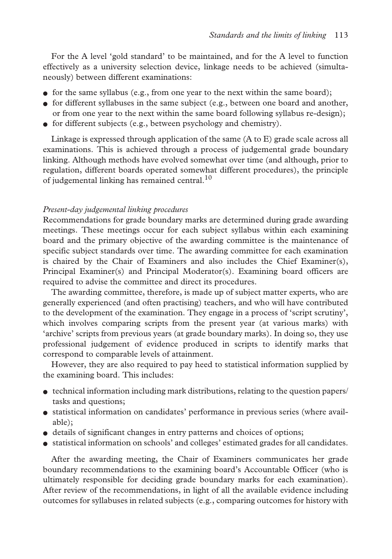For the A level 'gold standard' to be maintained, and for the A level to function effectively as a university selection device, linkage needs to be achieved (simultaneously) between different examinations:

- for the same syllabus (e.g., from one year to the next within the same board);
- $\bullet$  for different syllabuses in the same subject (e.g., between one board and another, or from one year to the next within the same board following syllabus re-design);
- for different subjects (e.g., between psychology and chemistry).

Linkage is expressed through application of the same (A to E) grade scale across all examinations. This is achieved through a process of judgemental grade boundary linking. Although methods have evolved somewhat over time (and although, prior to regulation, different boards operated somewhat different procedures), the principle of judgemental linking has remained central.<sup>10</sup>

#### *Present-day judgemental linking procedures*

Recommendations for grade boundary marks are determined during grade awarding meetings. These meetings occur for each subject syllabus within each examining board and the primary objective of the awarding committee is the maintenance of specific subject standards over time. The awarding committee for each examination is chaired by the Chair of Examiners and also includes the Chief Examiner(s), Principal Examiner(s) and Principal Moderator(s). Examining board officers are required to advise the committee and direct its procedures.

The awarding committee, therefore, is made up of subject matter experts, who are generally experienced (and often practising) teachers, and who will have contributed to the development of the examination. They engage in a process of 'script scrutiny', which involves comparing scripts from the present year (at various marks) with 'archive' scripts from previous years (at grade boundary marks). In doing so, they use professional judgement of evidence produced in scripts to identify marks that correspond to comparable levels of attainment.

However, they are also required to pay heed to statistical information supplied by the examining board. This includes:

- technical information including mark distributions, relating to the question papers/ tasks and questions;
- statistical information on candidates' performance in previous series (where available);
- details of significant changes in entry patterns and choices of options;
- statistical information on schools' and colleges' estimated grades for all candidates.

After the awarding meeting, the Chair of Examiners communicates her grade boundary recommendations to the examining board's Accountable Officer (who is ultimately responsible for deciding grade boundary marks for each examination). After review of the recommendations, in light of all the available evidence including outcomes for syllabuses in related subjects (e.g., comparing outcomes for history with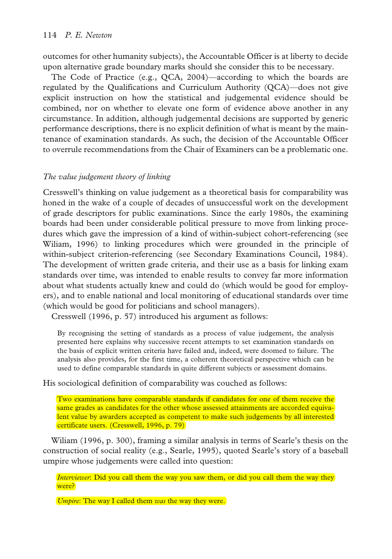outcomes for other humanity subjects), the Accountable Officer is at liberty to decide upon alternative grade boundary marks should she consider this to be necessary.

The Code of Practice (e.g., QCA, 2004)—according to which the boards are regulated by the Qualifications and Curriculum Authority (QCA)—does not give explicit instruction on how the statistical and judgemental evidence should be combined, nor on whether to elevate one form of evidence above another in any circumstance. In addition, although judgemental decisions are supported by generic performance descriptions, there is no explicit definition of what is meant by the maintenance of examination standards. As such, the decision of the Accountable Officer to overrule recommendations from the Chair of Examiners can be a problematic one.

# *The value judgement theory of linking*

Cresswell's thinking on value judgement as a theoretical basis for comparability was honed in the wake of a couple of decades of unsuccessful work on the development of grade descriptors for public examinations. Since the early 1980s, the examining boards had been under considerable political pressure to move from linking procedures which gave the impression of a kind of within-subject cohort-referencing (see Wiliam, 1996) to linking procedures which were grounded in the principle of within-subject criterion-referencing (see Secondary Examinations Council, 1984). The development of written grade criteria, and their use as a basis for linking exam standards over time, was intended to enable results to convey far more information about what students actually knew and could do (which would be good for employers), and to enable national and local monitoring of educational standards over time (which would be good for politicians and school managers).

Cresswell (1996, p. 57) introduced his argument as follows:

By recognising the setting of standards as a process of value judgement, the analysis presented here explains why successive recent attempts to set examination standards on the basis of explicit written criteria have failed and, indeed, were doomed to failure. The analysis also provides, for the first time, a coherent theoretical perspective which can be used to define comparable standards in quite different subjects or assessment domains.

His sociological definition of comparability was couched as follows:

Two examinations have comparable standards if candidates for one of them receive the same grades as candidates for the other whose assessed attainments are accorded equivalent value by awarders accepted as competent to make such judgements by all interested certificate users. (Cresswell, 1996, p. 79)

Wiliam (1996, p. 300), framing a similar analysis in terms of Searle's thesis on the construction of social reality (e.g., Searle, 1995), quoted Searle's story of a baseball umpire whose judgements were called into question:

*Interviewer*: Did you call them the way you saw them, or did you call them the way they were?

*Umpire*: The way I called them *was* the way they were.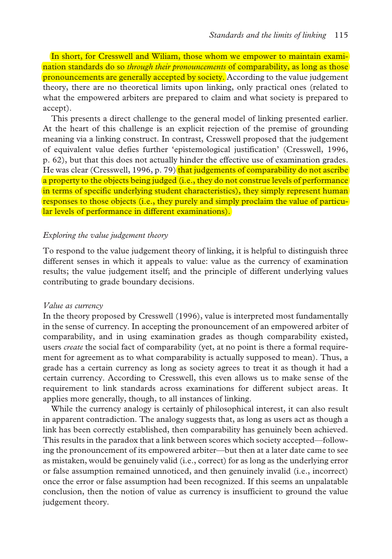In short, for Cresswell and Wiliam, those whom we empower to maintain examination standards do so *through their pronouncements* of comparability, as long as those pronouncements are generally accepted by society. According to the value judgement theory, there are no theoretical limits upon linking, only practical ones (related to what the empowered arbiters are prepared to claim and what society is prepared to accept).

This presents a direct challenge to the general model of linking presented earlier. At the heart of this challenge is an explicit rejection of the premise of grounding meaning via a linking construct. In contrast, Cresswell proposed that the judgement of equivalent value defies further 'epistemological justification' (Cresswell, 1996, p. 62), but that this does not actually hinder the effective use of examination grades. He was clear (Cresswell, 1996, p. 79) that judgements of comparability do not ascribe a property to the objects being judged (i.e., they do not construe levels of performance in terms of specific underlying student characteristics), they simply represent human responses to those objects (i.e., they purely and simply proclaim the value of particular levels of performance in different examinations).

#### *Exploring the value judgement theory*

To respond to the value judgement theory of linking, it is helpful to distinguish three different senses in which it appeals to value: value as the currency of examination results; the value judgement itself; and the principle of different underlying values contributing to grade boundary decisions.

#### *Value as currency*

In the theory proposed by Cresswell (1996), value is interpreted most fundamentally in the sense of currency. In accepting the pronouncement of an empowered arbiter of comparability, and in using examination grades as though comparability existed, users *create* the social fact of comparability (yet, at no point is there a formal requirement for agreement as to what comparability is actually supposed to mean). Thus, a grade has a certain currency as long as society agrees to treat it as though it had a certain currency. According to Cresswell, this even allows us to make sense of the requirement to link standards across examinations for different subject areas. It applies more generally, though, to all instances of linking.

While the currency analogy is certainly of philosophical interest, it can also result in apparent contradiction. The analogy suggests that, as long as users act as though a link has been correctly established, then comparability has genuinely been achieved. This results in the paradox that a link between scores which society accepted—following the pronouncement of its empowered arbiter—but then at a later date came to see as mistaken, would be genuinely valid (i.e., correct) for as long as the underlying error or false assumption remained unnoticed, and then genuinely invalid (i.e., incorrect) once the error or false assumption had been recognized. If this seems an unpalatable conclusion, then the notion of value as currency is insufficient to ground the value judgement theory.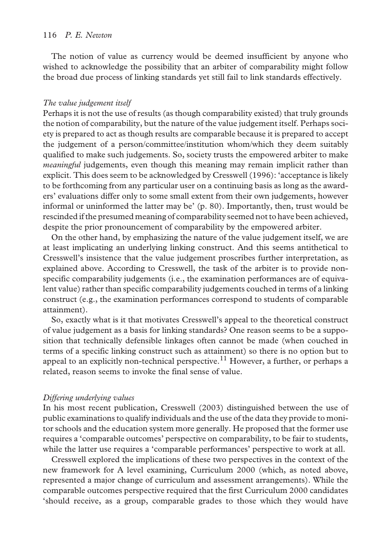## 116 *P. E. Newton*

The notion of value as currency would be deemed insufficient by anyone who wished to acknowledge the possibility that an arbiter of comparability might follow the broad due process of linking standards yet still fail to link standards effectively.

#### *The value judgement itself*

Perhaps it is not the use of results (as though comparability existed) that truly grounds the notion of comparability, but the nature of the value judgement itself. Perhaps society is prepared to act as though results are comparable because it is prepared to accept the judgement of a person/committee/institution whom/which they deem suitably qualified to make such judgements. So, society trusts the empowered arbiter to make *meaningful* judgements, even though this meaning may remain implicit rather than explicit. This does seem to be acknowledged by Cresswell (1996): 'acceptance is likely to be forthcoming from any particular user on a continuing basis as long as the awarders' evaluations differ only to some small extent from their own judgements, however informal or uninformed the latter may be' (p. 80). Importantly, then, trust would be rescinded if the presumed meaning of comparability seemed not to have been achieved, despite the prior pronouncement of comparability by the empowered arbiter.

On the other hand, by emphasizing the nature of the value judgement itself, we are at least implicating an underlying linking construct. And this seems antithetical to Cresswell's insistence that the value judgement proscribes further interpretation, as explained above. According to Cresswell, the task of the arbiter is to provide nonspecific comparability judgements (i.e., the examination performances are of equivalent value) rather than specific comparability judgements couched in terms of a linking construct (e.g., the examination performances correspond to students of comparable attainment).

So, exactly what is it that motivates Cresswell's appeal to the theoretical construct of value judgement as a basis for linking standards? One reason seems to be a supposition that technically defensible linkages often cannot be made (when couched in terms of a specific linking construct such as attainment) so there is no option but to appeal to an explicitly non-technical perspective.<sup>11</sup> However, a further, or perhaps a related, reason seems to invoke the final sense of value.

#### *Differing underlying values*

In his most recent publication, Cresswell (2003) distinguished between the use of public examinations to qualify individuals and the use of the data they provide to monitor schools and the education system more generally. He proposed that the former use requires a 'comparable outcomes' perspective on comparability, to be fair to students, while the latter use requires a 'comparable performances' perspective to work at all.

Cresswell explored the implications of these two perspectives in the context of the new framework for A level examining, Curriculum 2000 (which, as noted above, represented a major change of curriculum and assessment arrangements). While the comparable outcomes perspective required that the first Curriculum 2000 candidates 'should receive, as a group, comparable grades to those which they would have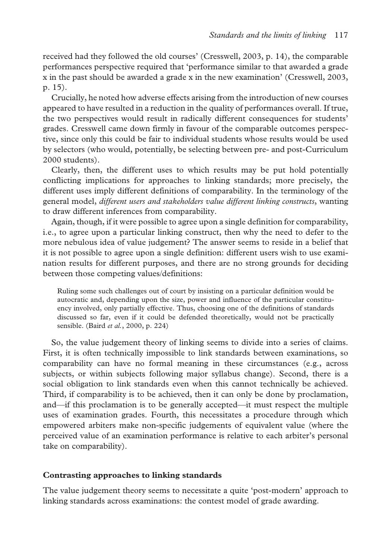received had they followed the old courses' (Cresswell, 2003, p. 14), the comparable performances perspective required that 'performance similar to that awarded a grade x in the past should be awarded a grade x in the new examination' (Cresswell, 2003, p. 15).

Crucially, he noted how adverse effects arising from the introduction of new courses appeared to have resulted in a reduction in the quality of performances overall. If true, the two perspectives would result in radically different consequences for students' grades. Cresswell came down firmly in favour of the comparable outcomes perspective, since only this could be fair to individual students whose results would be used by selectors (who would, potentially, be selecting between pre- and post-Curriculum 2000 students).

Clearly, then, the different uses to which results may be put hold potentially conflicting implications for approaches to linking standards; more precisely, the different uses imply different definitions of comparability. In the terminology of the general model, *different users and stakeholders value different linking constructs*, wanting to draw different inferences from comparability.

Again, though, if it were possible to agree upon a single definition for comparability, i.e., to agree upon a particular linking construct, then why the need to defer to the more nebulous idea of value judgement? The answer seems to reside in a belief that it is not possible to agree upon a single definition: different users wish to use examination results for different purposes, and there are no strong grounds for deciding between those competing values/definitions:

Ruling some such challenges out of court by insisting on a particular definition would be autocratic and, depending upon the size, power and influence of the particular constituency involved, only partially effective. Thus, choosing one of the definitions of standards discussed so far, even if it could be defended theoretically, would not be practically sensible. (Baird *et al.*, 2000, p. 224)

So, the value judgement theory of linking seems to divide into a series of claims. First, it is often technically impossible to link standards between examinations, so comparability can have no formal meaning in these circumstances (e.g., across subjects, or within subjects following major syllabus change). Second, there is a social obligation to link standards even when this cannot technically be achieved. Third, if comparability is to be achieved, then it can only be done by proclamation, and—if this proclamation is to be generally accepted—it must respect the multiple uses of examination grades. Fourth, this necessitates a procedure through which empowered arbiters make non-specific judgements of equivalent value (where the perceived value of an examination performance is relative to each arbiter's personal take on comparability).

#### **Contrasting approaches to linking standards**

The value judgement theory seems to necessitate a quite 'post-modern' approach to linking standards across examinations: the contest model of grade awarding.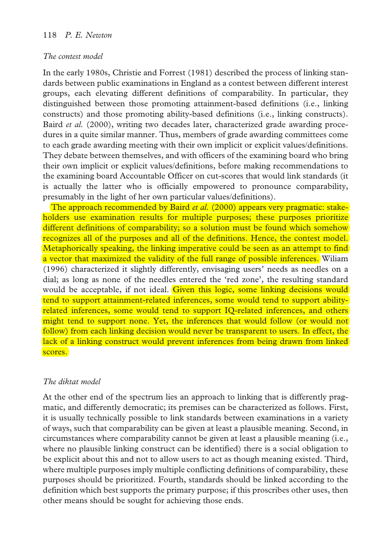# 118 *P. E. Newton*

## *The contest model*

In the early 1980s, Christie and Forrest (1981) described the process of linking standards between public examinations in England as a contest between different interest groups, each elevating different definitions of comparability. In particular, they distinguished between those promoting attainment-based definitions (i.e., linking constructs) and those promoting ability-based definitions (i.e., linking constructs). Baird *et al.* (2000), writing two decades later, characterized grade awarding procedures in a quite similar manner. Thus, members of grade awarding committees come to each grade awarding meeting with their own implicit or explicit values/definitions. They debate between themselves, and with officers of the examining board who bring their own implicit or explicit values/definitions, before making recommendations to the examining board Accountable Officer on cut-scores that would link standards (it is actually the latter who is officially empowered to pronounce comparability, presumably in the light of her own particular values/definitions).

The approach recommended by Baird *et al.* (2000) appears very pragmatic: stakeholders use examination results for multiple purposes; these purposes prioritize different definitions of comparability; so a solution must be found which somehow recognizes all of the purposes and all of the definitions. Hence, the contest model. Metaphorically speaking, the linking imperative could be seen as an attempt to find a vector that maximized the validity of the full range of possible inferences. Wiliam (1996) characterized it slightly differently, envisaging users' needs as needles on a dial; as long as none of the needles entered the 'red zone', the resulting standard would be acceptable, if not ideal. Given this logic, some linking decisions would tend to support attainment-related inferences, some would tend to support abilityrelated inferences, some would tend to support IQ-related inferences, and others might tend to support none. Yet, the inferences that would follow (or would not follow) from each linking decision would never be transparent to users. In effect, the lack of a linking construct would prevent inferences from being drawn from linked scores.

# *The diktat model*

At the other end of the spectrum lies an approach to linking that is differently pragmatic, and differently democratic; its premises can be characterized as follows. First, it is usually technically possible to link standards between examinations in a variety of ways, such that comparability can be given at least a plausible meaning. Second, in circumstances where comparability cannot be given at least a plausible meaning (i.e., where no plausible linking construct can be identified) there is a social obligation to be explicit about this and not to allow users to act as though meaning existed. Third, where multiple purposes imply multiple conflicting definitions of comparability, these purposes should be prioritized. Fourth, standards should be linked according to the definition which best supports the primary purpose; if this proscribes other uses, then other means should be sought for achieving those ends.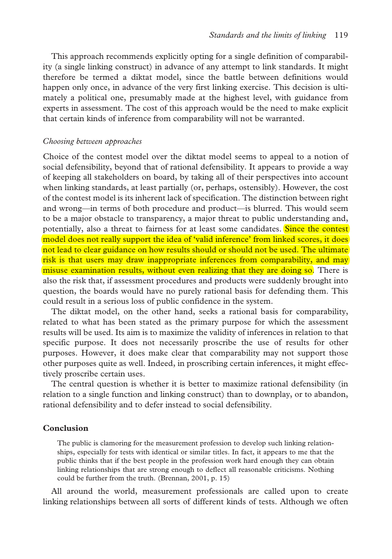This approach recommends explicitly opting for a single definition of comparability (a single linking construct) in advance of any attempt to link standards. It might therefore be termed a diktat model, since the battle between definitions would happen only once, in advance of the very first linking exercise. This decision is ultimately a political one, presumably made at the highest level, with guidance from experts in assessment. The cost of this approach would be the need to make explicit that certain kinds of inference from comparability will not be warranted.

#### *Choosing between approaches*

Choice of the contest model over the diktat model seems to appeal to a notion of social defensibility, beyond that of rational defensibility. It appears to provide a way of keeping all stakeholders on board, by taking all of their perspectives into account when linking standards, at least partially (or, perhaps, ostensibly). However, the cost of the contest model is its inherent lack of specification. The distinction between right and wrong—in terms of both procedure and product—is blurred. This would seem to be a major obstacle to transparency, a major threat to public understanding and, potentially, also a threat to fairness for at least some candidates. Since the contest model does not really support the idea of 'valid inference' from linked scores, it does not lead to clear guidance on how results should or should not be used. The ultimate risk is that users may draw inappropriate inferences from comparability, and may misuse examination results, without even realizing that they are doing so. There is also the risk that, if assessment procedures and products were suddenly brought into question, the boards would have no purely rational basis for defending them. This could result in a serious loss of public confidence in the system.

The diktat model, on the other hand, seeks a rational basis for comparability, related to what has been stated as the primary purpose for which the assessment results will be used. Its aim is to maximize the validity of inferences in relation to that specific purpose. It does not necessarily proscribe the use of results for other purposes. However, it does make clear that comparability may not support those other purposes quite as well. Indeed, in proscribing certain inferences, it might effectively proscribe certain uses.

The central question is whether it is better to maximize rational defensibility (in relation to a single function and linking construct) than to downplay, or to abandon, rational defensibility and to defer instead to social defensibility.

## **Conclusion**

The public is clamoring for the measurement profession to develop such linking relationships, especially for tests with identical or similar titles. In fact, it appears to me that the public thinks that if the best people in the profession work hard enough they can obtain linking relationships that are strong enough to deflect all reasonable criticisms. Nothing could be further from the truth. (Brennan, 2001, p. 15)

All around the world, measurement professionals are called upon to create linking relationships between all sorts of different kinds of tests. Although we often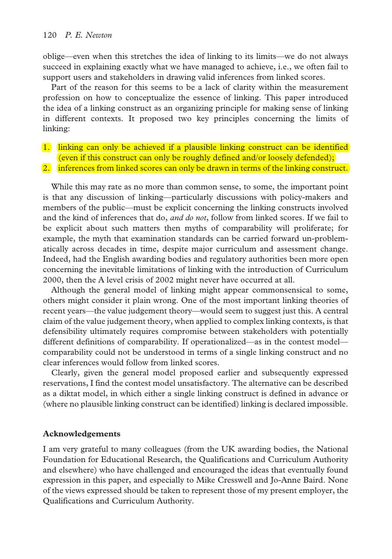oblige—even when this stretches the idea of linking to its limits—we do not always succeed in explaining exactly what we have managed to achieve, i.e., we often fail to support users and stakeholders in drawing valid inferences from linked scores.

Part of the reason for this seems to be a lack of clarity within the measurement profession on how to conceptualize the essence of linking. This paper introduced the idea of a linking construct as an organizing principle for making sense of linking in different contexts. It proposed two key principles concerning the limits of linking:

1. linking can only be achieved if a plausible linking construct can be identified (even if this construct can only be roughly defined and/or loosely defended);

2. inferences from linked scores can only be drawn in terms of the linking construct.

While this may rate as no more than common sense, to some, the important point is that any discussion of linking—particularly discussions with policy-makers and members of the public—must be explicit concerning the linking constructs involved and the kind of inferences that do, *and do not*, follow from linked scores. If we fail to be explicit about such matters then myths of comparability will proliferate; for example, the myth that examination standards can be carried forward un-problematically across decades in time, despite major curriculum and assessment change. Indeed, had the English awarding bodies and regulatory authorities been more open concerning the inevitable limitations of linking with the introduction of Curriculum 2000, then the A level crisis of 2002 might never have occurred at all.

Although the general model of linking might appear commonsensical to some, others might consider it plain wrong. One of the most important linking theories of recent years—the value judgement theory—would seem to suggest just this. A central claim of the value judgement theory, when applied to complex linking contexts, is that defensibility ultimately requires compromise between stakeholders with potentially different definitions of comparability. If operationalized—as in the contest model comparability could not be understood in terms of a single linking construct and no clear inferences would follow from linked scores.

Clearly, given the general model proposed earlier and subsequently expressed reservations, I find the contest model unsatisfactory. The alternative can be described as a diktat model, in which either a single linking construct is defined in advance or (where no plausible linking construct can be identified) linking is declared impossible.

## **Acknowledgements**

I am very grateful to many colleagues (from the UK awarding bodies, the National Foundation for Educational Research, the Qualifications and Curriculum Authority and elsewhere) who have challenged and encouraged the ideas that eventually found expression in this paper, and especially to Mike Cresswell and Jo-Anne Baird. None of the views expressed should be taken to represent those of my present employer, the Qualifications and Curriculum Authority.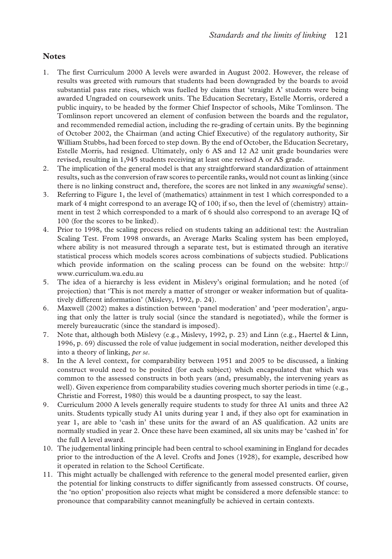# **Notes**

- 1. The first Curriculum 2000 A levels were awarded in August 2002. However, the release of results was greeted with rumours that students had been downgraded by the boards to avoid substantial pass rate rises, which was fuelled by claims that 'straight A' students were being awarded Ungraded on coursework units. The Education Secretary, Estelle Morris, ordered a public inquiry, to be headed by the former Chief Inspector of schools, Mike Tomlinson. The Tomlinson report uncovered an element of confusion between the boards and the regulator, and recommended remedial action, including the re-grading of certain units. By the beginning of October 2002, the Chairman (and acting Chief Executive) of the regulatory authority, Sir William Stubbs, had been forced to step down. By the end of October, the Education Secretary, Estelle Morris, had resigned. Ultimately, only 6 AS and 12 A2 unit grade boundaries were revised, resulting in 1,945 students receiving at least one revised A or AS grade.
- 2. The implication of the general model is that any straightforward standardization of attainment results, such as the conversion of raw scores to percentile ranks, would not count as linking (since there is no linking construct and, therefore, the scores are not linked in any *meaningful* sense).
- 3. Referring to Figure 1, the level of (mathematics) attainment in test 1 which corresponded to a mark of 4 might correspond to an average IQ of 100; if so, then the level of (chemistry) attainment in test 2 which corresponded to a mark of 6 should also correspond to an average IQ of 100 (for the scores to be linked).
- 4. Prior to 1998, the scaling process relied on students taking an additional test: the Australian Scaling Test. From 1998 onwards, an Average Marks Scaling system has been employed, where ability is not measured through a separate test, but is estimated through an iterative statistical process which models scores across combinations of subjects studied. Publications which provide information on the scaling process can be found on the website: http:// www.curriculum.wa.edu.au
- 5. The idea of a hierarchy is less evident in Mislevy's original formulation; and he noted (of projection) that 'This is not merely a matter of stronger or weaker information but of qualitatively different information' (Mislevy, 1992, p. 24).
- 6. Maxwell (2002) makes a distinction between 'panel moderation' and 'peer moderation', arguing that only the latter is truly social (since the standard is negotiated), while the former is merely bureaucratic (since the standard is imposed).
- 7. Note that, although both Mislevy (e.g., Mislevy, 1992, p. 23) and Linn (e.g., Haertel & Linn, 1996, p. 69) discussed the role of value judgement in social moderation, neither developed this into a theory of linking, *per se*.
- 8. In the A level context, for comparability between 1951 and 2005 to be discussed, a linking construct would need to be posited (for each subject) which encapsulated that which was common to the assessed constructs in both years (and, presumably, the intervening years as well). Given experience from comparability studies covering much shorter periods in time (e.g., Christie and Forrest, 1980) this would be a daunting prospect, to say the least.
- 9. Curriculum 2000 A levels generally require students to study for three A1 units and three A2 units. Students typically study A1 units during year 1 and, if they also opt for examination in year 1, are able to 'cash in' these units for the award of an AS qualification. A2 units are normally studied in year 2. Once these have been examined, all six units may be 'cashed in' for the full A level award.
- 10. The judgemental linking principle had been central to school examining in England for decades prior to the introduction of the A level. Crofts and Jones (1928), for example, described how it operated in relation to the School Certificate.
- 11. This might actually be challenged with reference to the general model presented earlier, given the potential for linking constructs to differ significantly from assessed constructs. Of course, the 'no option' proposition also rejects what might be considered a more defensible stance: to pronounce that comparability cannot meaningfully be achieved in certain contexts.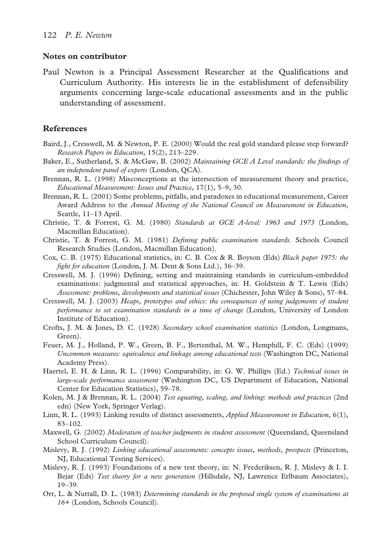#### **Notes on contributor**

Paul Newton is a Principal Assessment Researcher at the Qualifications and Curriculum Authority. His interests lie in the establishment of defensibility arguments concerning large-scale educational assessments and in the public understanding of assessment.

#### **References**

- Baird, J., Cresswell, M. & Newton, P. E. (2000) Would the real gold standard please step forward? *Research Papers in Education,* 15(2), 213–229.
- Baker, E., Sutherland, S. & McGaw, B. (2002) *Maintaining GCE A Level standards: the findings of an independent panel of experts* (London, QCA).
- Brennan, R. L. (1998) Misconceptions at the intersection of measurement theory and practice, *Educational Measurement: Issues and Practice,* 17(1), 5–9, 30.
- Brennan, R. L. (2001) Some problems, pitfalls, and paradoxes in educational measurement, Career Award Address to the *Annual Meeting of the National Council on Measurement in Education*, Seattle, 11–13 April.
- Christie, T. & Forrest, G. M. (1980) *Standards at GCE A-level: 1963 and 1973* (London, Macmillan Education).
- Christie, T. & Forrest, G. M. (1981) *Defining public examination standards.* Schools Council Research Studies (London, Macmillan Education).
- Cox, C. B. (1975) Educational statistics, in: C. B. Cox & R. Boyson (Eds) *Black paper 1975: the fight for education* (London, J. M. Dent & Sons Ltd.), 36–39.
- Cresswell, M. J. (1996) Defining, setting and maintaining standards in curriculum-embedded examinations: judgmental and statistical approaches, in: H. Goldstein & T. Lewis (Eds) *Assessment: problems, developments and statistical issues* (Chichester, John Wiley & Sons), 57–84.
- Cresswell, M. J. (2003) *Heaps, prototypes and ethics: the consequences of using judgements of student performance to set examination standards in a time of change* (London, University of London Institute of Education).
- Crofts, J. M. & Jones, D. C. (1928) *Secondary school examination statistics* (London, Longmans, Green).
- Feuer, M. J., Holland, P. W., Green, B. F., Bertenthal, M. W., Hemphill, F. C. (Eds) (1999) *Uncommon measures: equivalence and linkage among educational tests* (Washington DC, National Academy Press).
- Haertel, E. H. & Linn, R. L. (1996) Comparability, in: G. W. Phillips (Ed.) *Technical issues in large-scale performance assessment* (Washington DC, US Department of Education, National Center for Education Statistics), 59–78.
- Kolen, M. J & Brennan, R. L. (2004) *Test equating, scaling, and linking: methods and practices* (2nd edn) (New York, Springer Verlag).
- Linn, R. L. (1993) Linking results of distinct assessments, *Applied Measurement in Education,* 6(1), 83–102.
- Maxwell, G. (2002) *Moderation of teacher judgments in student assessment* (Queensland, Queensland School Curriculum Council).
- Mislevy, R. J. (1992) *Linking educational assessments: concepts issues, methods, prospects* (Princeton, NJ, Educational Testing Services).
- Mislevy, R. J. (1993) Foundations of a new test theory, in: N. Frederiksen, R. J. Mislevy & I. I. Bejar (Eds) *Test theory for a new generation* (Hillsdale, NJ, Lawrence Erlbaum Associates), 19–39.
- Orr, L. & Nuttall, D. L. (1983) *Determining standards in the proposed single system of examinations at 16+* (London, Schools Council).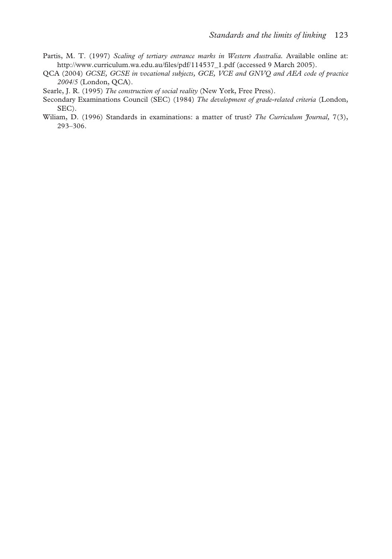- Partis, M. T. (1997) *Scaling of tertiary entrance marks in Western Australia.* Available online at: http://www.curriculum.wa.edu.au/files/pdf/114537\_1.pdf (accessed 9 March 2005).
- QCA (2004) *GCSE, GCSE in vocational subjects, GCE, VCE and GNVQ and AEA code of practice 2004/5* (London, QCA).
- Searle, J. R. (1995) *The construction of social reality* (New York, Free Press).
- Secondary Examinations Council (SEC) (1984) *The development of grade-related criteria* (London, SEC).
- Wiliam, D. (1996) Standards in examinations: a matter of trust? *The Curriculum Journal,* 7(3), 293–306.